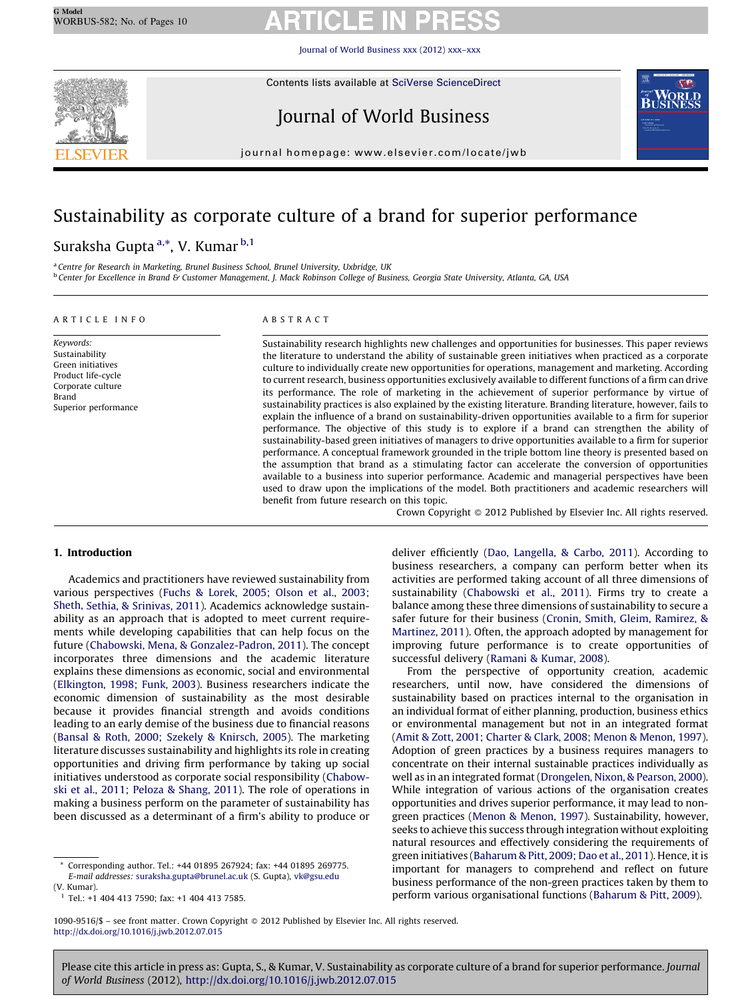Journal of World [Business](http://dx.doi.org/10.1016/j.jwb.2012.07.015) xxx (2012) xxx–xxx



Contents lists available at SciVerse [ScienceDirect](http://www.sciencedirect.com/science/journal/10909516)

# Journal of World Business



journal homepage: www.elsevier.com/locate/jwb

# Sustainability as corporate culture of a brand for superior performance

## Suraksha Gupta<sup>a,</sup>\*, V. Kumar <sup>b,1</sup>

<sup>a</sup> Centre for Research in Marketing, Brunel Business School, Brunel University, Uxbridge, UK **b Center for Excellence in Brand & Customer Management, J. Mack Robinson College of Business, Georgia State University, Atlanta, GA, USA** 

#### A R T I C L E I N F O

Keywords: Sustainability Green initiatives Product life-cycle Corporate culture Brand Superior performance

### A B S T R A C T

Sustainability research highlights new challenges and opportunities for businesses. This paper reviews the literature to understand the ability of sustainable green initiatives when practiced as a corporate culture to individually create new opportunities for operations, management and marketing. According to current research, business opportunities exclusively available to different functions of a firm can drive its performance. The role of marketing in the achievement of superior performance by virtue of sustainability practices is also explained by the existing literature. Branding literature, however, fails to explain the influence of a brand on sustainability-driven opportunities available to a firm for superior performance. The objective of this study is to explore if a brand can strengthen the ability of sustainability-based green initiatives of managers to drive opportunities available to a firm for superior performance. A conceptual framework grounded in the triple bottom line theory is presented based on the assumption that brand as a stimulating factor can accelerate the conversion of opportunities available to a business into superior performance. Academic and managerial perspectives have been used to draw upon the implications of the model. Both practitioners and academic researchers will benefit from future research on this topic.

Crown Copyright © 2012 Published by Elsevier Inc. All rights reserved.

### 1. Introduction

Academics and practitioners have reviewed sustainability from various perspectives (Fuchs & [Lorek,](#page--1-0) 2005; Olson et al., 2003; Sheth, Sethia, & [Srinivas,](#page--1-0) 2011). Academics acknowledge sustainability as an approach that is adopted to meet current requirements while developing capabilities that can help focus on the future (Chabowski, Mena, & [Gonzalez-Padron,](#page--1-0) 2011). The concept incorporates three dimensions and the academic literature explains these dimensions as economic, social and environmental ([Elkington,](#page--1-0) 1998; Funk, 2003). Business researchers indicate the economic dimension of sustainability as the most desirable because it provides financial strength and avoids conditions leading to an early demise of the business due to financial reasons (Bansal & Roth, 2000; Szekely & [Knirsch,](#page--1-0) 2005). The marketing literature discusses sustainability and highlights its role in creating opportunities and driving firm performance by taking up social initiatives understood as corporate social responsibility [\(Chabow](#page--1-0)ski et al., 2011; Peloza & [Shang,](#page--1-0) 2011). The role of operations in making a business perform on the parameter of sustainability has been discussed as a determinant of a firm's ability to produce or deliver efficiently (Dao, [Langella,](#page--1-0) & Carbo, 2011). According to business researchers, a company can perform better when its activities are performed taking account of all three dimensions of sustainability [\(Chabowski](#page--1-0) et al., 2011). Firms try to create a balance among these three dimensions of sustainability to secure a safer future for their business (Cronin, Smith, Gleim, [Ramirez,](#page--1-0) & [Martinez,](#page--1-0) 2011). Often, the approach adopted by management for improving future performance is to create opportunities of successful delivery ([Ramani](#page--1-0) & Kumar, 2008).

From the perspective of opportunity creation, academic researchers, until now, have considered the dimensions of sustainability based on practices internal to the organisation in an individual format of either planning, production, business ethics or environmental management but not in an integrated format (Amit & Zott, 2001; Charter & Clark, 2008; Menon & [Menon,](#page--1-0) 1997). Adoption of green practices by a business requires managers to concentrate on their internal sustainable practices individually as well as in an integrated format ([Drongelen,](#page--1-0) Nixon, & Pearson, 2000). While integration of various actions of the organisation creates opportunities and drives superior performance, it may lead to nongreen practices (Menon & [Menon,](#page--1-0) 1997). Sustainability, however, seeks to achieve this success through integration without exploiting natural resources and effectively considering the requirements of green initiatives [\(Baharum](#page--1-0) & Pitt, 2009; Dao et al., 2011). Hence, itis important for managers to comprehend and reflect on future business performance of the non-green practices taken by them to perform various organisational functions [\(Baharum](#page--1-0) & Pitt, 2009).

1090-9516/\$ - see front matter. Crown Copyright © 2012 Published by Elsevier Inc. All rights reserved. <http://dx.doi.org/10.1016/j.jwb.2012.07.015>

Please cite this article in press as: Gupta, S., & Kumar, V. Sustainability as corporate culture of a brand for superior performance. Journal of World Business (2012), <http://dx.doi.org/10.1016/j.jwb.2012.07.015>

Corresponding author. Tel.: +44 01895 267924; fax: +44 01895 269775. E-mail addresses: [suraksha.gupta@brunel.ac.uk](mailto:suraksha.gupta@brunel.ac.uk) (S. Gupta), [vk@gsu.edu](mailto:vk@gsu.edu) (V. Kumar).

<sup>1</sup> Tel.: +1 404 413 7590; fax: +1 404 413 7585.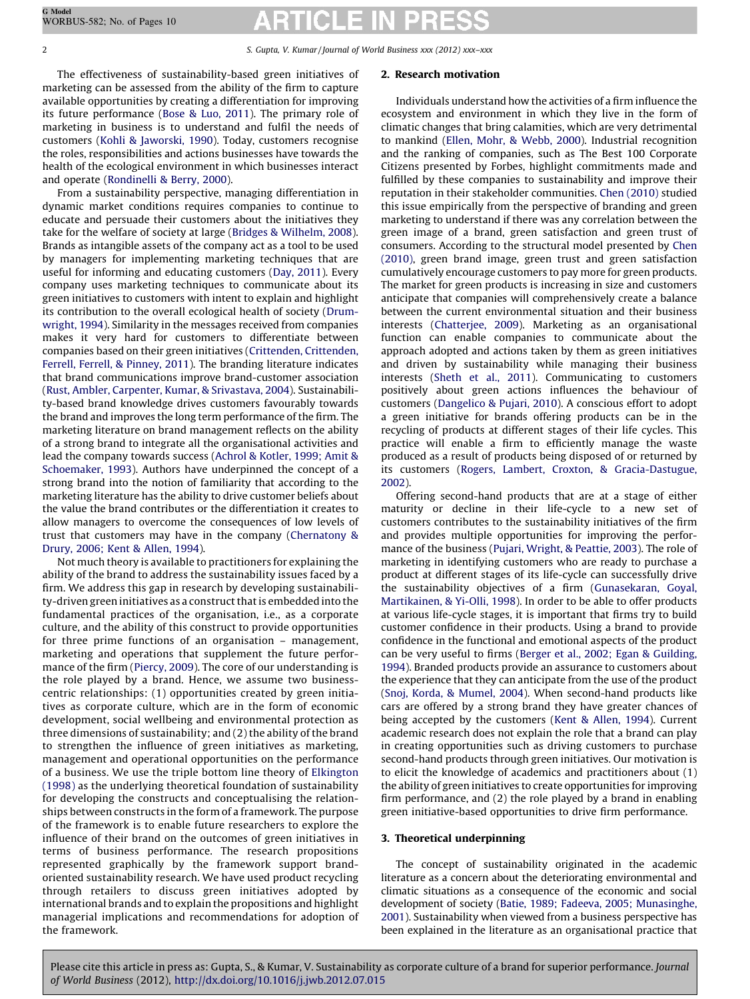2 S. Gupta, V. Kumar/ Journal of World Business xxx (2012) xxx–xxx

The effectiveness of sustainability-based green initiatives of marketing can be assessed from the ability of the firm to capture available opportunities by creating a differentiation for improving its future performance (Bose & Luo, [2011](#page--1-0)). The primary role of marketing in business is to understand and fulfil the needs of customers (Kohli & [Jaworski,](#page--1-0) 1990). Today, customers recognise the roles, responsibilities and actions businesses have towards the health of the ecological environment in which businesses interact and operate ([Rondinelli](#page--1-0) & Berry, 2000).

From a sustainability perspective, managing differentiation in dynamic market conditions requires companies to continue to educate and persuade their customers about the initiatives they take for the welfare of society at large (Bridges & [Wilhelm,](#page--1-0) 2008). Brands as intangible assets of the company act as a tool to be used by managers for implementing marketing techniques that are useful for informing and educating customers (Day, [2011\)](#page--1-0). Every company uses marketing techniques to communicate about its green initiatives to customers with intent to explain and highlight its contribution to the overall ecological health of society [\(Drum](#page--1-0)[wright,](#page--1-0) 1994). Similarity in the messages received from companies makes it very hard for customers to differentiate between companies based on their green initiatives (Crittenden, [Crittenden,](#page--1-0) Ferrell, Ferrell, & [Pinney,](#page--1-0) 2011). The branding literature indicates that brand communications improve brand-customer association (Rust, Ambler, Carpenter, Kumar, & [Srivastava,](#page--1-0) 2004). Sustainability-based brand knowledge drives customers favourably towards the brand and improves the long term performance of the firm. The marketing literature on brand management reflects on the ability of a strong brand to integrate all the organisational activities and lead the company towards success (Achrol & [Kotler,](#page--1-0) 1999; Amit & [Schoemaker,](#page--1-0) 1993). Authors have underpinned the concept of a strong brand into the notion of familiarity that according to the marketing literature has the ability to drive customer beliefs about the value the brand contributes or the differentiation it creates to allow managers to overcome the consequences of low levels of trust that customers may have in the company ([Chernatony](#page--1-0) & [Drury,](#page--1-0) 2006; Kent & Allen, 1994).

Not much theory is available to practitioners for explaining the ability of the brand to address the sustainability issues faced by a firm. We address this gap in research by developing sustainability-driven green initiatives as a construct that is embedded into the fundamental practices of the organisation, i.e., as a corporate culture, and the ability of this construct to provide opportunities for three prime functions of an organisation – management, marketing and operations that supplement the future performance of the firm ([Piercy,](#page--1-0) 2009). The core of our understanding is the role played by a brand. Hence, we assume two businesscentric relationships: (1) opportunities created by green initiatives as corporate culture, which are in the form of economic development, social wellbeing and environmental protection as three dimensions of sustainability; and (2) the ability of the brand to strengthen the influence of green initiatives as marketing, management and operational opportunities on the performance of a business. We use the triple bottom line theory of [Elkington](#page--1-0) [\(1998\)](#page--1-0) as the underlying theoretical foundation of sustainability for developing the constructs and conceptualising the relationships between constructs in the form of a framework. The purpose of the framework is to enable future researchers to explore the influence of their brand on the outcomes of green initiatives in terms of business performance. The research propositions represented graphically by the framework support brandoriented sustainability research. We have used product recycling through retailers to discuss green initiatives adopted by international brands and to explain the propositions and highlight managerial implications and recommendations for adoption of the framework.

#### 2. Research motivation

Individuals understand how the activities of a firm influence the ecosystem and environment in which they live in the form of climatic changes that bring calamities, which are very detrimental to mankind (Ellen, Mohr, & [Webb,](#page--1-0) 2000). Industrial recognition and the ranking of companies, such as The Best 100 Corporate Citizens presented by Forbes, highlight commitments made and fulfilled by these companies to sustainability and improve their reputation in their stakeholder communities. Chen [\(2010\)](#page--1-0) studied this issue empirically from the perspective of branding and green marketing to understand if there was any correlation between the green image of a brand, green satisfaction and green trust of consumers. According to the structural model presented by [Chen](#page--1-0) [\(2010\),](#page--1-0) green brand image, green trust and green satisfaction cumulatively encourage customers to pay more for green products. The market for green products is increasing in size and customers anticipate that companies will comprehensively create a balance between the current environmental situation and their business interests [\(Chatterjee,](#page--1-0) 2009). Marketing as an organisational function can enable companies to communicate about the approach adopted and actions taken by them as green initiatives and driven by sustainability while managing their business interests [\(Sheth](#page--1-0) et al., 2011). Communicating to customers positively about green actions influences the behaviour of customers ([Dangelico](#page--1-0) & Pujari, 2010). A conscious effort to adopt a green initiative for brands offering products can be in the recycling of products at different stages of their life cycles. This practice will enable a firm to efficiently manage the waste produced as a result of products being disposed of or returned by its customers (Rogers, Lambert, Croxton, & [Gracia-Dastugue,](#page--1-0) [2002\)](#page--1-0).

Offering second-hand products that are at a stage of either maturity or decline in their life-cycle to a new set of customers contributes to the sustainability initiatives of the firm and provides multiple opportunities for improving the performance of the business (Pujari, [Wright,](#page--1-0) & Peattie, 2003). The role of marketing in identifying customers who are ready to purchase a product at different stages of its life-cycle can successfully drive the sustainability objectives of a firm [\(Gunasekaran,](#page--1-0) Goyal, [Martikainen,](#page--1-0) & Yi-Olli, 1998). In order to be able to offer products at various life-cycle stages, it is important that firms try to build customer confidence in their products. Using a brand to provide confidence in the functional and emotional aspects of the product can be very useful to firms (Berger et al., 2002; Egan & [Guilding,](#page--1-0) [1994](#page--1-0)). Branded products provide an assurance to customers about the experience that they can anticipate from the use of the product (Snoj, Korda, & [Mumel,](#page--1-0) 2004). When second-hand products like cars are offered by a strong brand they have greater chances of being accepted by the customers (Kent & [Allen,](#page--1-0) 1994). Current academic research does not explain the role that a brand can play in creating opportunities such as driving customers to purchase second-hand products through green initiatives. Our motivation is to elicit the knowledge of academics and practitioners about (1) the ability of green initiatives to create opportunities for improving firm performance, and (2) the role played by a brand in enabling green initiative-based opportunities to drive firm performance.

## 3. Theoretical underpinning

The concept of sustainability originated in the academic literature as a concern about the deteriorating environmental and climatic situations as a consequence of the economic and social development of society (Batie, 1989; Fadeeva, 2005; [Munasinghe,](#page--1-0) [2001\)](#page--1-0). Sustainability when viewed from a business perspective has been explained in the literature as an organisational practice that

Please cite this article in press as: Gupta, S., & Kumar, V. Sustainability as corporate culture of a brand for superior performance. Journal of World Business (2012), <http://dx.doi.org/10.1016/j.jwb.2012.07.015>